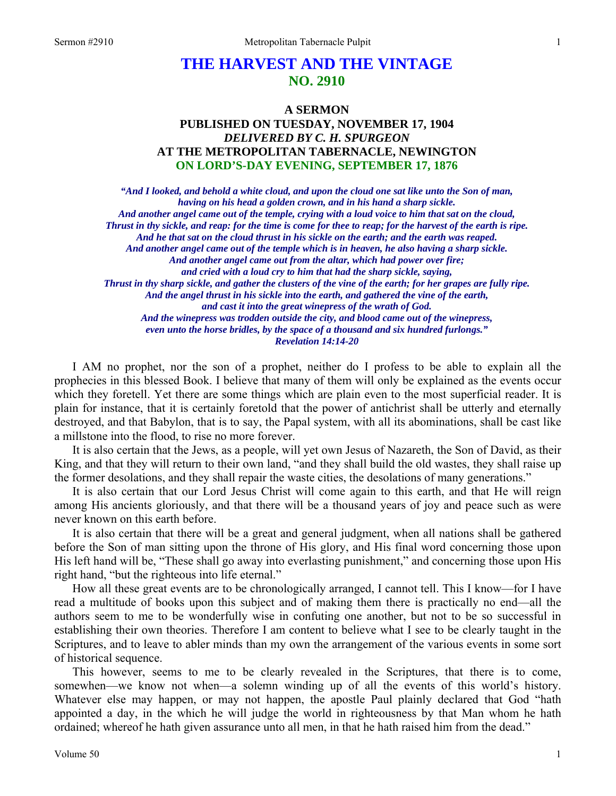# **THE HARVEST AND THE VINTAGE NO. 2910**

## **A SERMON PUBLISHED ON TUESDAY, NOVEMBER 17, 1904**  *DELIVERED BY C. H. SPURGEON*  **AT THE METROPOLITAN TABERNACLE, NEWINGTON ON LORD'S-DAY EVENING, SEPTEMBER 17, 1876**

*"And I looked, and behold a white cloud, and upon the cloud one sat like unto the Son of man, having on his head a golden crown, and in his hand a sharp sickle. And another angel came out of the temple, crying with a loud voice to him that sat on the cloud, Thrust in thy sickle, and reap: for the time is come for thee to reap; for the harvest of the earth is ripe. And he that sat on the cloud thrust in his sickle on the earth; and the earth was reaped. And another angel came out of the temple which is in heaven, he also having a sharp sickle. And another angel came out from the altar, which had power over fire; and cried with a loud cry to him that had the sharp sickle, saying, Thrust in thy sharp sickle, and gather the clusters of the vine of the earth; for her grapes are fully ripe. And the angel thrust in his sickle into the earth, and gathered the vine of the earth, and cast it into the great winepress of the wrath of God. And the winepress was trodden outside the city, and blood came out of the winepress, even unto the horse bridles, by the space of a thousand and six hundred furlongs." Revelation 14:14-20* 

I AM no prophet, nor the son of a prophet, neither do I profess to be able to explain all the prophecies in this blessed Book. I believe that many of them will only be explained as the events occur which they foretell. Yet there are some things which are plain even to the most superficial reader. It is plain for instance, that it is certainly foretold that the power of antichrist shall be utterly and eternally destroyed, and that Babylon, that is to say, the Papal system, with all its abominations, shall be cast like a millstone into the flood, to rise no more forever.

It is also certain that the Jews, as a people, will yet own Jesus of Nazareth, the Son of David, as their King, and that they will return to their own land, "and they shall build the old wastes, they shall raise up the former desolations, and they shall repair the waste cities, the desolations of many generations."

It is also certain that our Lord Jesus Christ will come again to this earth, and that He will reign among His ancients gloriously, and that there will be a thousand years of joy and peace such as were never known on this earth before.

It is also certain that there will be a great and general judgment, when all nations shall be gathered before the Son of man sitting upon the throne of His glory, and His final word concerning those upon His left hand will be, "These shall go away into everlasting punishment," and concerning those upon His right hand, "but the righteous into life eternal."

How all these great events are to be chronologically arranged, I cannot tell. This I know—for I have read a multitude of books upon this subject and of making them there is practically no end—all the authors seem to me to be wonderfully wise in confuting one another, but not to be so successful in establishing their own theories. Therefore I am content to believe what I see to be clearly taught in the Scriptures, and to leave to abler minds than my own the arrangement of the various events in some sort of historical sequence.

This however, seems to me to be clearly revealed in the Scriptures, that there is to come, somewhen—we know not when—a solemn winding up of all the events of this world's history. Whatever else may happen, or may not happen, the apostle Paul plainly declared that God "hath appointed a day, in the which he will judge the world in righteousness by that Man whom he hath ordained; whereof he hath given assurance unto all men, in that he hath raised him from the dead."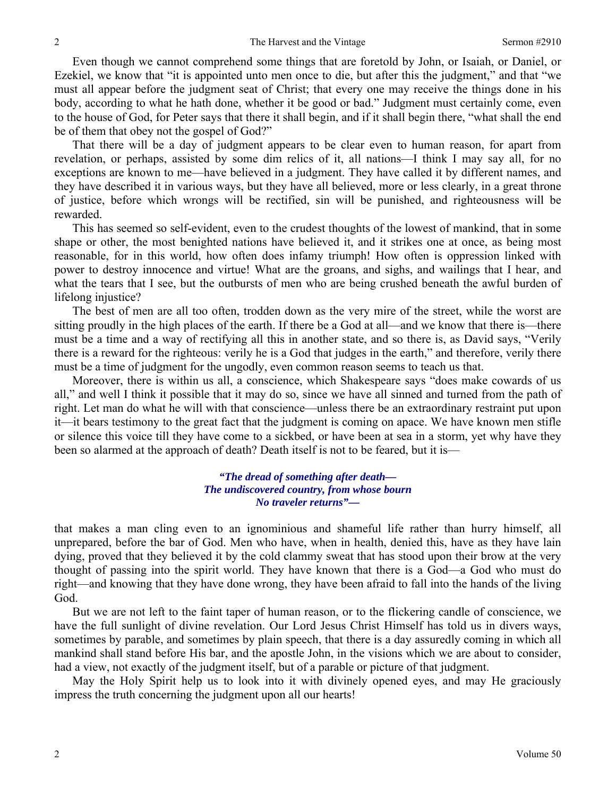Even though we cannot comprehend some things that are foretold by John, or Isaiah, or Daniel, or Ezekiel, we know that "it is appointed unto men once to die, but after this the judgment," and that "we must all appear before the judgment seat of Christ; that every one may receive the things done in his body, according to what he hath done, whether it be good or bad." Judgment must certainly come, even to the house of God, for Peter says that there it shall begin, and if it shall begin there, "what shall the end be of them that obey not the gospel of God?"

That there will be a day of judgment appears to be clear even to human reason, for apart from revelation, or perhaps, assisted by some dim relics of it, all nations—I think I may say all, for no exceptions are known to me—have believed in a judgment. They have called it by different names, and they have described it in various ways, but they have all believed, more or less clearly, in a great throne of justice, before which wrongs will be rectified, sin will be punished, and righteousness will be rewarded.

This has seemed so self-evident, even to the crudest thoughts of the lowest of mankind, that in some shape or other, the most benighted nations have believed it, and it strikes one at once, as being most reasonable, for in this world, how often does infamy triumph! How often is oppression linked with power to destroy innocence and virtue! What are the groans, and sighs, and wailings that I hear, and what the tears that I see, but the outbursts of men who are being crushed beneath the awful burden of lifelong injustice?

The best of men are all too often, trodden down as the very mire of the street, while the worst are sitting proudly in the high places of the earth. If there be a God at all—and we know that there is—there must be a time and a way of rectifying all this in another state, and so there is, as David says, "Verily there is a reward for the righteous: verily he is a God that judges in the earth," and therefore, verily there must be a time of judgment for the ungodly, even common reason seems to teach us that.

Moreover, there is within us all, a conscience, which Shakespeare says "does make cowards of us all," and well I think it possible that it may do so, since we have all sinned and turned from the path of right. Let man do what he will with that conscience—unless there be an extraordinary restraint put upon it—it bears testimony to the great fact that the judgment is coming on apace. We have known men stifle or silence this voice till they have come to a sickbed, or have been at sea in a storm, yet why have they been so alarmed at the approach of death? Death itself is not to be feared, but it is—

#### *"The dread of something after death— The undiscovered country, from whose bourn No traveler returns"—*

that makes a man cling even to an ignominious and shameful life rather than hurry himself, all unprepared, before the bar of God. Men who have, when in health, denied this, have as they have lain dying, proved that they believed it by the cold clammy sweat that has stood upon their brow at the very thought of passing into the spirit world. They have known that there is a God—a God who must do right—and knowing that they have done wrong, they have been afraid to fall into the hands of the living God.

But we are not left to the faint taper of human reason, or to the flickering candle of conscience, we have the full sunlight of divine revelation. Our Lord Jesus Christ Himself has told us in divers ways, sometimes by parable, and sometimes by plain speech, that there is a day assuredly coming in which all mankind shall stand before His bar, and the apostle John, in the visions which we are about to consider, had a view, not exactly of the judgment itself, but of a parable or picture of that judgment.

May the Holy Spirit help us to look into it with divinely opened eyes, and may He graciously impress the truth concerning the judgment upon all our hearts!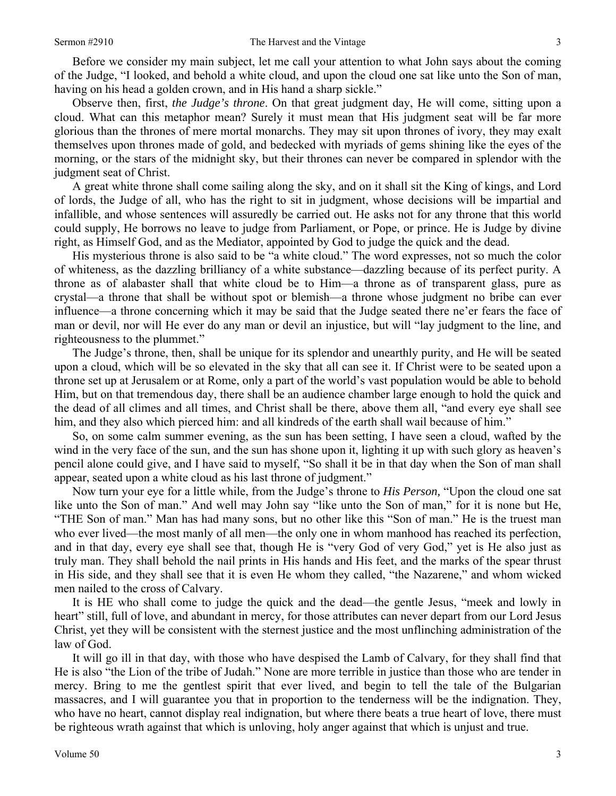Before we consider my main subject, let me call your attention to what John says about the coming of the Judge, "I looked, and behold a white cloud, and upon the cloud one sat like unto the Son of man, having on his head a golden crown, and in His hand a sharp sickle."

Observe then, first, *the Judge's throne*. On that great judgment day, He will come, sitting upon a cloud. What can this metaphor mean? Surely it must mean that His judgment seat will be far more glorious than the thrones of mere mortal monarchs. They may sit upon thrones of ivory, they may exalt themselves upon thrones made of gold, and bedecked with myriads of gems shining like the eyes of the morning, or the stars of the midnight sky, but their thrones can never be compared in splendor with the judgment seat of Christ.

A great white throne shall come sailing along the sky, and on it shall sit the King of kings, and Lord of lords, the Judge of all, who has the right to sit in judgment, whose decisions will be impartial and infallible, and whose sentences will assuredly be carried out. He asks not for any throne that this world could supply, He borrows no leave to judge from Parliament, or Pope, or prince. He is Judge by divine right, as Himself God, and as the Mediator, appointed by God to judge the quick and the dead.

His mysterious throne is also said to be "a white cloud." The word expresses, not so much the color of whiteness, as the dazzling brilliancy of a white substance—dazzling because of its perfect purity. A throne as of alabaster shall that white cloud be to Him—a throne as of transparent glass, pure as crystal—a throne that shall be without spot or blemish—a throne whose judgment no bribe can ever influence—a throne concerning which it may be said that the Judge seated there ne'er fears the face of man or devil, nor will He ever do any man or devil an injustice, but will "lay judgment to the line, and righteousness to the plummet."

The Judge's throne, then, shall be unique for its splendor and unearthly purity, and He will be seated upon a cloud, which will be so elevated in the sky that all can see it. If Christ were to be seated upon a throne set up at Jerusalem or at Rome, only a part of the world's vast population would be able to behold Him, but on that tremendous day, there shall be an audience chamber large enough to hold the quick and the dead of all climes and all times, and Christ shall be there, above them all, "and every eye shall see him, and they also which pierced him: and all kindreds of the earth shall wail because of him."

So, on some calm summer evening, as the sun has been setting, I have seen a cloud, wafted by the wind in the very face of the sun, and the sun has shone upon it, lighting it up with such glory as heaven's pencil alone could give, and I have said to myself, "So shall it be in that day when the Son of man shall appear, seated upon a white cloud as his last throne of judgment."

Now turn your eye for a little while, from the Judge's throne to *His Person,* "Upon the cloud one sat like unto the Son of man." And well may John say "like unto the Son of man," for it is none but He, "THE Son of man." Man has had many sons, but no other like this "Son of man." He is the truest man who ever lived—the most manly of all men—the only one in whom manhood has reached its perfection, and in that day, every eye shall see that, though He is "very God of very God," yet is He also just as truly man. They shall behold the nail prints in His hands and His feet, and the marks of the spear thrust in His side, and they shall see that it is even He whom they called, "the Nazarene," and whom wicked men nailed to the cross of Calvary.

It is HE who shall come to judge the quick and the dead—the gentle Jesus, "meek and lowly in heart" still, full of love, and abundant in mercy, for those attributes can never depart from our Lord Jesus Christ, yet they will be consistent with the sternest justice and the most unflinching administration of the law of God.

It will go ill in that day, with those who have despised the Lamb of Calvary, for they shall find that He is also "the Lion of the tribe of Judah." None are more terrible in justice than those who are tender in mercy. Bring to me the gentlest spirit that ever lived, and begin to tell the tale of the Bulgarian massacres, and I will guarantee you that in proportion to the tenderness will be the indignation. They, who have no heart, cannot display real indignation, but where there beats a true heart of love, there must be righteous wrath against that which is unloving, holy anger against that which is unjust and true.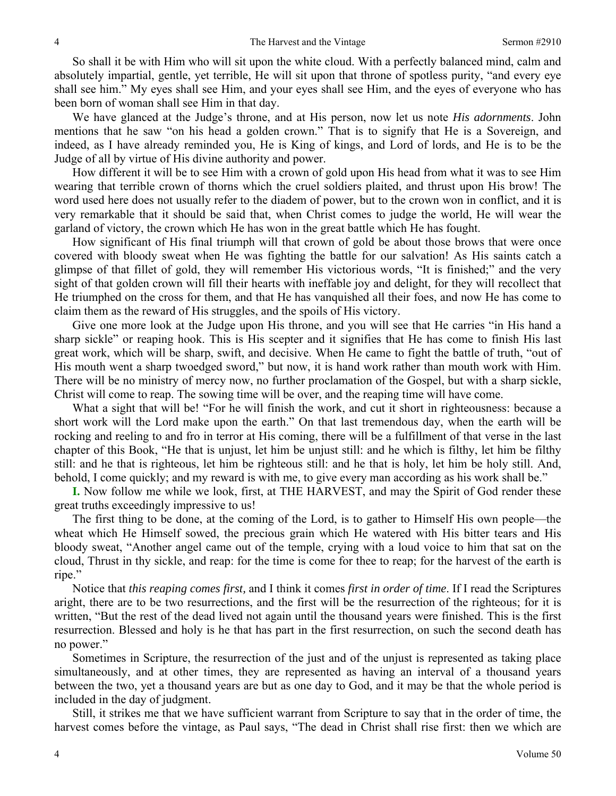So shall it be with Him who will sit upon the white cloud. With a perfectly balanced mind, calm and absolutely impartial, gentle, yet terrible, He will sit upon that throne of spotless purity, "and every eye shall see him." My eyes shall see Him, and your eyes shall see Him, and the eyes of everyone who has been born of woman shall see Him in that day.

We have glanced at the Judge's throne, and at His person, now let us note *His adornments*. John mentions that he saw "on his head a golden crown." That is to signify that He is a Sovereign, and indeed, as I have already reminded you, He is King of kings, and Lord of lords, and He is to be the Judge of all by virtue of His divine authority and power.

How different it will be to see Him with a crown of gold upon His head from what it was to see Him wearing that terrible crown of thorns which the cruel soldiers plaited, and thrust upon His brow! The word used here does not usually refer to the diadem of power, but to the crown won in conflict, and it is very remarkable that it should be said that, when Christ comes to judge the world, He will wear the garland of victory, the crown which He has won in the great battle which He has fought.

How significant of His final triumph will that crown of gold be about those brows that were once covered with bloody sweat when He was fighting the battle for our salvation! As His saints catch a glimpse of that fillet of gold, they will remember His victorious words, "It is finished;" and the very sight of that golden crown will fill their hearts with ineffable joy and delight, for they will recollect that He triumphed on the cross for them, and that He has vanquished all their foes, and now He has come to claim them as the reward of His struggles, and the spoils of His victory.

Give one more look at the Judge upon His throne, and you will see that He carries "in His hand a sharp sickle" or reaping hook. This is His scepter and it signifies that He has come to finish His last great work, which will be sharp, swift, and decisive. When He came to fight the battle of truth, "out of His mouth went a sharp twoedged sword," but now, it is hand work rather than mouth work with Him. There will be no ministry of mercy now, no further proclamation of the Gospel, but with a sharp sickle, Christ will come to reap. The sowing time will be over, and the reaping time will have come.

What a sight that will be! "For he will finish the work, and cut it short in righteousness: because a short work will the Lord make upon the earth." On that last tremendous day, when the earth will be rocking and reeling to and fro in terror at His coming, there will be a fulfillment of that verse in the last chapter of this Book, "He that is unjust, let him be unjust still: and he which is filthy, let him be filthy still: and he that is righteous, let him be righteous still: and he that is holy, let him be holy still. And, behold, I come quickly; and my reward is with me, to give every man according as his work shall be."

**I.** Now follow me while we look, first, at THE HARVEST, and may the Spirit of God render these great truths exceedingly impressive to us!

The first thing to be done, at the coming of the Lord, is to gather to Himself His own people—the wheat which He Himself sowed, the precious grain which He watered with His bitter tears and His bloody sweat, "Another angel came out of the temple, crying with a loud voice to him that sat on the cloud, Thrust in thy sickle, and reap: for the time is come for thee to reap; for the harvest of the earth is ripe."

Notice that *this reaping comes first,* and I think it comes *first in order of time*. If I read the Scriptures aright, there are to be two resurrections, and the first will be the resurrection of the righteous; for it is written, "But the rest of the dead lived not again until the thousand years were finished. This is the first resurrection. Blessed and holy is he that has part in the first resurrection, on such the second death has no power."

Sometimes in Scripture, the resurrection of the just and of the unjust is represented as taking place simultaneously, and at other times, they are represented as having an interval of a thousand years between the two, yet a thousand years are but as one day to God, and it may be that the whole period is included in the day of judgment.

Still, it strikes me that we have sufficient warrant from Scripture to say that in the order of time, the harvest comes before the vintage, as Paul says, "The dead in Christ shall rise first: then we which are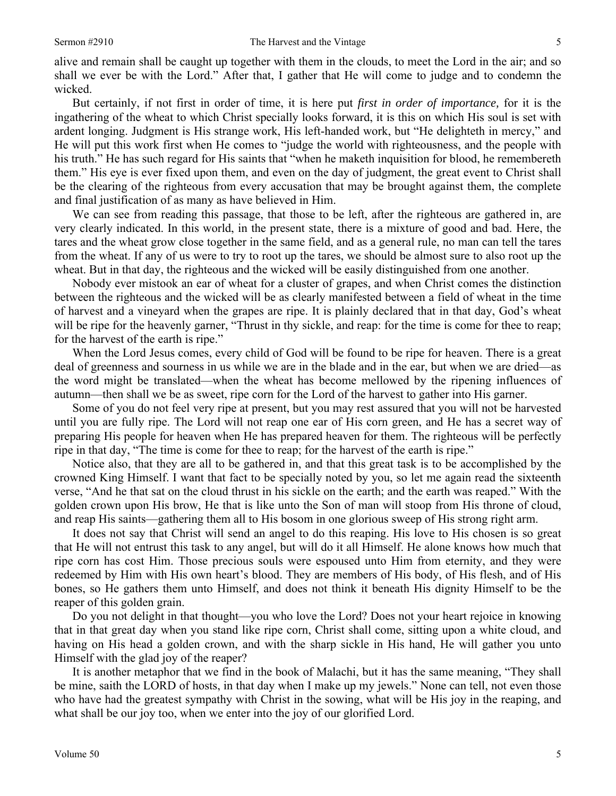alive and remain shall be caught up together with them in the clouds, to meet the Lord in the air; and so shall we ever be with the Lord." After that, I gather that He will come to judge and to condemn the wicked.

But certainly, if not first in order of time, it is here put *first in order of importance,* for it is the ingathering of the wheat to which Christ specially looks forward, it is this on which His soul is set with ardent longing. Judgment is His strange work, His left-handed work, but "He delighteth in mercy," and He will put this work first when He comes to "judge the world with righteousness, and the people with his truth." He has such regard for His saints that "when he maketh inquisition for blood, he remembereth them." His eye is ever fixed upon them, and even on the day of judgment, the great event to Christ shall be the clearing of the righteous from every accusation that may be brought against them, the complete and final justification of as many as have believed in Him.

We can see from reading this passage, that those to be left, after the righteous are gathered in, are very clearly indicated. In this world, in the present state, there is a mixture of good and bad. Here, the tares and the wheat grow close together in the same field, and as a general rule, no man can tell the tares from the wheat. If any of us were to try to root up the tares, we should be almost sure to also root up the wheat. But in that day, the righteous and the wicked will be easily distinguished from one another.

Nobody ever mistook an ear of wheat for a cluster of grapes, and when Christ comes the distinction between the righteous and the wicked will be as clearly manifested between a field of wheat in the time of harvest and a vineyard when the grapes are ripe. It is plainly declared that in that day, God's wheat will be ripe for the heavenly garner, "Thrust in thy sickle, and reap: for the time is come for thee to reap; for the harvest of the earth is ripe."

When the Lord Jesus comes, every child of God will be found to be ripe for heaven. There is a great deal of greenness and sourness in us while we are in the blade and in the ear, but when we are dried—as the word might be translated—when the wheat has become mellowed by the ripening influences of autumn—then shall we be as sweet, ripe corn for the Lord of the harvest to gather into His garner.

Some of you do not feel very ripe at present, but you may rest assured that you will not be harvested until you are fully ripe. The Lord will not reap one ear of His corn green, and He has a secret way of preparing His people for heaven when He has prepared heaven for them. The righteous will be perfectly ripe in that day, "The time is come for thee to reap; for the harvest of the earth is ripe."

Notice also, that they are all to be gathered in, and that this great task is to be accomplished by the crowned King Himself. I want that fact to be specially noted by you, so let me again read the sixteenth verse, "And he that sat on the cloud thrust in his sickle on the earth; and the earth was reaped." With the golden crown upon His brow, He that is like unto the Son of man will stoop from His throne of cloud, and reap His saints—gathering them all to His bosom in one glorious sweep of His strong right arm.

It does not say that Christ will send an angel to do this reaping. His love to His chosen is so great that He will not entrust this task to any angel, but will do it all Himself. He alone knows how much that ripe corn has cost Him. Those precious souls were espoused unto Him from eternity, and they were redeemed by Him with His own heart's blood. They are members of His body, of His flesh, and of His bones, so He gathers them unto Himself, and does not think it beneath His dignity Himself to be the reaper of this golden grain.

Do you not delight in that thought—you who love the Lord? Does not your heart rejoice in knowing that in that great day when you stand like ripe corn, Christ shall come, sitting upon a white cloud, and having on His head a golden crown, and with the sharp sickle in His hand, He will gather you unto Himself with the glad joy of the reaper?

It is another metaphor that we find in the book of Malachi, but it has the same meaning, "They shall be mine, saith the LORD of hosts, in that day when I make up my jewels." None can tell, not even those who have had the greatest sympathy with Christ in the sowing, what will be His joy in the reaping, and what shall be our joy too, when we enter into the joy of our glorified Lord.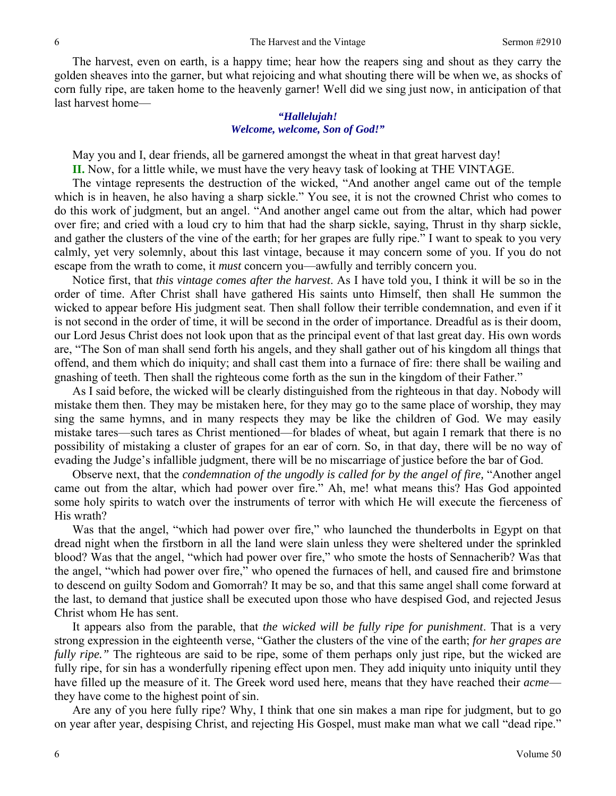The harvest, even on earth, is a happy time; hear how the reapers sing and shout as they carry the golden sheaves into the garner, but what rejoicing and what shouting there will be when we, as shocks of corn fully ripe, are taken home to the heavenly garner! Well did we sing just now, in anticipation of that last harvest home—

#### *"Hallelujah! Welcome, welcome, Son of God!"*

May you and I, dear friends, all be garnered amongst the wheat in that great harvest day!

**II.** Now, for a little while, we must have the very heavy task of looking at THE VINTAGE.

The vintage represents the destruction of the wicked, "And another angel came out of the temple which is in heaven, he also having a sharp sickle." You see, it is not the crowned Christ who comes to do this work of judgment, but an angel. "And another angel came out from the altar, which had power over fire; and cried with a loud cry to him that had the sharp sickle, saying, Thrust in thy sharp sickle, and gather the clusters of the vine of the earth; for her grapes are fully ripe." I want to speak to you very calmly, yet very solemnly, about this last vintage, because it may concern some of you. If you do not escape from the wrath to come, it *must* concern you—awfully and terribly concern you.

Notice first, that *this vintage comes after the harvest*. As I have told you, I think it will be so in the order of time. After Christ shall have gathered His saints unto Himself, then shall He summon the wicked to appear before His judgment seat. Then shall follow their terrible condemnation, and even if it is not second in the order of time, it will be second in the order of importance. Dreadful as is their doom, our Lord Jesus Christ does not look upon that as the principal event of that last great day. His own words are, "The Son of man shall send forth his angels, and they shall gather out of his kingdom all things that offend, and them which do iniquity; and shall cast them into a furnace of fire: there shall be wailing and gnashing of teeth. Then shall the righteous come forth as the sun in the kingdom of their Father."

As I said before, the wicked will be clearly distinguished from the righteous in that day. Nobody will mistake them then. They may be mistaken here, for they may go to the same place of worship, they may sing the same hymns, and in many respects they may be like the children of God. We may easily mistake tares—such tares as Christ mentioned—for blades of wheat, but again I remark that there is no possibility of mistaking a cluster of grapes for an ear of corn. So, in that day, there will be no way of evading the Judge's infallible judgment, there will be no miscarriage of justice before the bar of God.

Observe next, that the *condemnation of the ungodly is called for by the angel of fire,* "Another angel came out from the altar, which had power over fire." Ah, me! what means this? Has God appointed some holy spirits to watch over the instruments of terror with which He will execute the fierceness of His wrath?

Was that the angel, "which had power over fire," who launched the thunderbolts in Egypt on that dread night when the firstborn in all the land were slain unless they were sheltered under the sprinkled blood? Was that the angel, "which had power over fire," who smote the hosts of Sennacherib? Was that the angel, "which had power over fire," who opened the furnaces of hell, and caused fire and brimstone to descend on guilty Sodom and Gomorrah? It may be so, and that this same angel shall come forward at the last, to demand that justice shall be executed upon those who have despised God, and rejected Jesus Christ whom He has sent.

It appears also from the parable, that *the wicked will be fully ripe for punishment*. That is a very strong expression in the eighteenth verse, "Gather the clusters of the vine of the earth; *for her grapes are fully ripe.*" The righteous are said to be ripe, some of them perhaps only just ripe, but the wicked are fully ripe, for sin has a wonderfully ripening effect upon men. They add iniquity unto iniquity until they have filled up the measure of it. The Greek word used here, means that they have reached their *acme* they have come to the highest point of sin.

Are any of you here fully ripe? Why, I think that one sin makes a man ripe for judgment, but to go on year after year, despising Christ, and rejecting His Gospel, must make man what we call "dead ripe."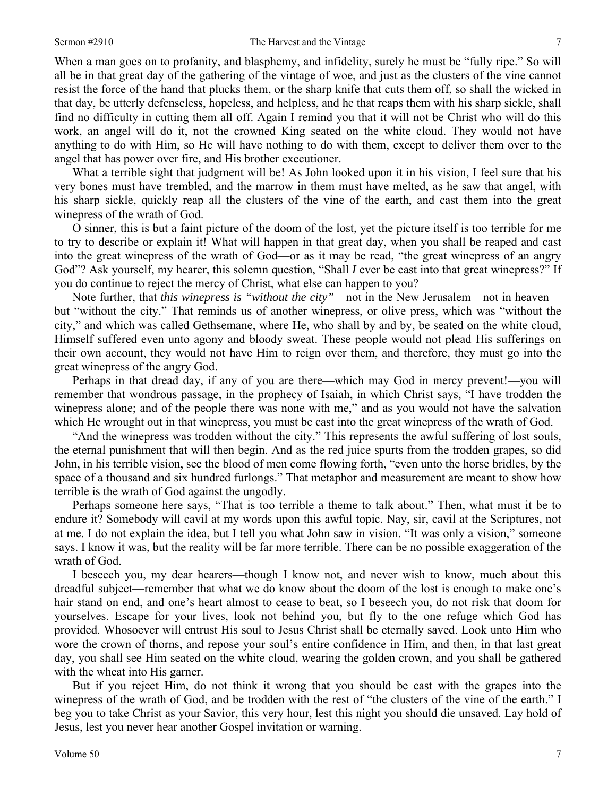When a man goes on to profanity, and blasphemy, and infidelity, surely he must be "fully ripe." So will all be in that great day of the gathering of the vintage of woe, and just as the clusters of the vine cannot resist the force of the hand that plucks them, or the sharp knife that cuts them off, so shall the wicked in that day, be utterly defenseless, hopeless, and helpless, and he that reaps them with his sharp sickle, shall find no difficulty in cutting them all off. Again I remind you that it will not be Christ who will do this work, an angel will do it, not the crowned King seated on the white cloud. They would not have anything to do with Him, so He will have nothing to do with them, except to deliver them over to the angel that has power over fire, and His brother executioner.

What a terrible sight that judgment will be! As John looked upon it in his vision, I feel sure that his very bones must have trembled, and the marrow in them must have melted, as he saw that angel, with his sharp sickle, quickly reap all the clusters of the vine of the earth, and cast them into the great winepress of the wrath of God.

O sinner, this is but a faint picture of the doom of the lost, yet the picture itself is too terrible for me to try to describe or explain it! What will happen in that great day, when you shall be reaped and cast into the great winepress of the wrath of God—or as it may be read, "the great winepress of an angry God"? Ask yourself, my hearer, this solemn question, "Shall *I* ever be cast into that great winepress?" If you do continue to reject the mercy of Christ, what else can happen to you?

Note further, that *this winepress is "without the city"*—not in the New Jerusalem—not in heaven but "without the city." That reminds us of another winepress, or olive press, which was "without the city," and which was called Gethsemane, where He, who shall by and by, be seated on the white cloud, Himself suffered even unto agony and bloody sweat. These people would not plead His sufferings on their own account, they would not have Him to reign over them, and therefore, they must go into the great winepress of the angry God.

Perhaps in that dread day, if any of you are there—which may God in mercy prevent!—you will remember that wondrous passage, in the prophecy of Isaiah, in which Christ says, "I have trodden the winepress alone; and of the people there was none with me," and as you would not have the salvation which He wrought out in that winepress, you must be cast into the great winepress of the wrath of God.

"And the winepress was trodden without the city." This represents the awful suffering of lost souls, the eternal punishment that will then begin. And as the red juice spurts from the trodden grapes, so did John, in his terrible vision, see the blood of men come flowing forth, "even unto the horse bridles, by the space of a thousand and six hundred furlongs." That metaphor and measurement are meant to show how terrible is the wrath of God against the ungodly.

Perhaps someone here says, "That is too terrible a theme to talk about." Then, what must it be to endure it? Somebody will cavil at my words upon this awful topic. Nay, sir, cavil at the Scriptures, not at me. I do not explain the idea, but I tell you what John saw in vision. "It was only a vision," someone says. I know it was, but the reality will be far more terrible. There can be no possible exaggeration of the wrath of God.

I beseech you, my dear hearers—though I know not, and never wish to know, much about this dreadful subject—remember that what we do know about the doom of the lost is enough to make one's hair stand on end, and one's heart almost to cease to beat, so I beseech you, do not risk that doom for yourselves. Escape for your lives, look not behind you, but fly to the one refuge which God has provided. Whosoever will entrust His soul to Jesus Christ shall be eternally saved. Look unto Him who wore the crown of thorns, and repose your soul's entire confidence in Him, and then, in that last great day, you shall see Him seated on the white cloud, wearing the golden crown, and you shall be gathered with the wheat into His garner.

But if you reject Him, do not think it wrong that you should be cast with the grapes into the winepress of the wrath of God, and be trodden with the rest of "the clusters of the vine of the earth." I beg you to take Christ as your Savior, this very hour, lest this night you should die unsaved. Lay hold of Jesus, lest you never hear another Gospel invitation or warning.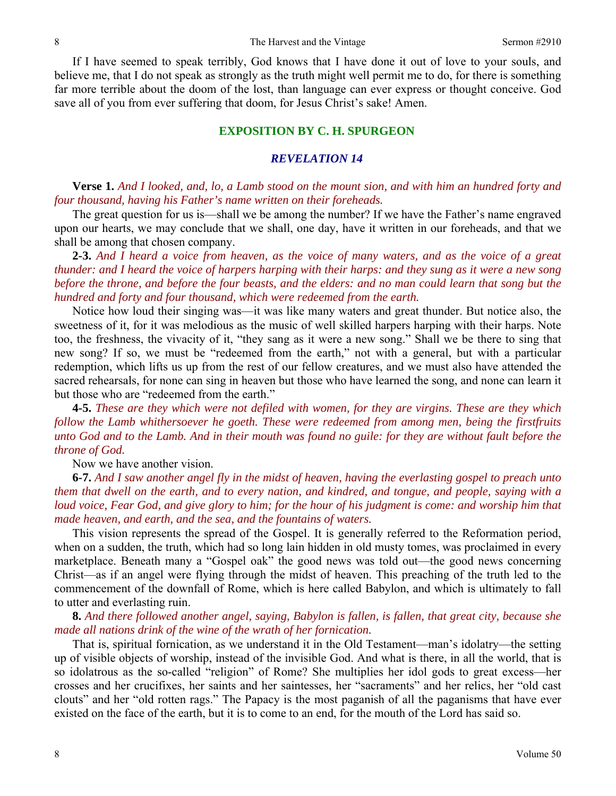If I have seemed to speak terribly, God knows that I have done it out of love to your souls, and believe me, that I do not speak as strongly as the truth might well permit me to do, for there is something far more terrible about the doom of the lost, than language can ever express or thought conceive. God save all of you from ever suffering that doom, for Jesus Christ's sake! Amen.

#### **EXPOSITION BY C. H. SPURGEON**

#### *REVELATION 14*

**Verse 1.** *And I looked, and, lo, a Lamb stood on the mount sion, and with him an hundred forty and four thousand, having his Father's name written on their foreheads.* 

The great question for us is—shall we be among the number? If we have the Father's name engraved upon our hearts, we may conclude that we shall, one day, have it written in our foreheads, and that we shall be among that chosen company.

**2-3.** *And I heard a voice from heaven, as the voice of many waters, and as the voice of a great thunder: and I heard the voice of harpers harping with their harps: and they sung as it were a new song before the throne, and before the four beasts, and the elders: and no man could learn that song but the hundred and forty and four thousand, which were redeemed from the earth.* 

Notice how loud their singing was—it was like many waters and great thunder. But notice also, the sweetness of it, for it was melodious as the music of well skilled harpers harping with their harps. Note too, the freshness, the vivacity of it, "they sang as it were a new song." Shall we be there to sing that new song? If so, we must be "redeemed from the earth," not with a general, but with a particular redemption, which lifts us up from the rest of our fellow creatures, and we must also have attended the sacred rehearsals, for none can sing in heaven but those who have learned the song, and none can learn it but those who are "redeemed from the earth."

**4-5.** *These are they which were not defiled with women, for they are virgins. These are they which follow the Lamb whithersoever he goeth. These were redeemed from among men, being the firstfruits unto God and to the Lamb. And in their mouth was found no guile: for they are without fault before the throne of God.* 

Now we have another vision.

**6-7.** *And I saw another angel fly in the midst of heaven, having the everlasting gospel to preach unto them that dwell on the earth, and to every nation, and kindred, and tongue, and people, saying with a loud voice, Fear God, and give glory to him; for the hour of his judgment is come: and worship him that made heaven, and earth, and the sea, and the fountains of waters.* 

This vision represents the spread of the Gospel. It is generally referred to the Reformation period, when on a sudden, the truth, which had so long lain hidden in old musty tomes, was proclaimed in every marketplace. Beneath many a "Gospel oak" the good news was told out—the good news concerning Christ—as if an angel were flying through the midst of heaven. This preaching of the truth led to the commencement of the downfall of Rome, which is here called Babylon, and which is ultimately to fall to utter and everlasting ruin.

**8.** *And there followed another angel, saying, Babylon is fallen, is fallen, that great city, because she made all nations drink of the wine of the wrath of her fornication.* 

That is, spiritual fornication, as we understand it in the Old Testament—man's idolatry—the setting up of visible objects of worship, instead of the invisible God. And what is there, in all the world, that is so idolatrous as the so-called "religion" of Rome? She multiplies her idol gods to great excess—her crosses and her crucifixes, her saints and her saintesses, her "sacraments" and her relics, her "old cast clouts" and her "old rotten rags." The Papacy is the most paganish of all the paganisms that have ever existed on the face of the earth, but it is to come to an end, for the mouth of the Lord has said so.